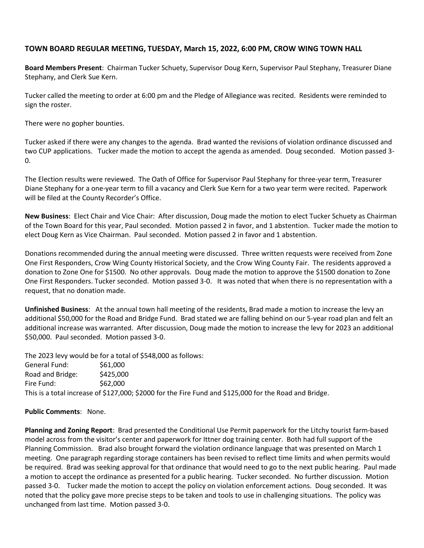## **TOWN BOARD REGULAR MEETING, TUESDAY, March 15, 2022, 6:00 PM, CROW WING TOWN HALL**

**Board Members Present**: Chairman Tucker Schuety, Supervisor Doug Kern, Supervisor Paul Stephany, Treasurer Diane Stephany, and Clerk Sue Kern.

Tucker called the meeting to order at 6:00 pm and the Pledge of Allegiance was recited. Residents were reminded to sign the roster.

There were no gopher bounties.

Tucker asked if there were any changes to the agenda. Brad wanted the revisions of violation ordinance discussed and two CUP applications. Tucker made the motion to accept the agenda as amended. Doug seconded. Motion passed 3- 0.

The Election results were reviewed. The Oath of Office for Supervisor Paul Stephany for three-year term, Treasurer Diane Stephany for a one-year term to fill a vacancy and Clerk Sue Kern for a two year term were recited. Paperwork will be filed at the County Recorder's Office.

**New Business**: Elect Chair and Vice Chair: After discussion, Doug made the motion to elect Tucker Schuety as Chairman of the Town Board for this year, Paul seconded. Motion passed 2 in favor, and 1 abstention. Tucker made the motion to elect Doug Kern as Vice Chairman. Paul seconded. Motion passed 2 in favor and 1 abstention.

Donations recommended during the annual meeting were discussed. Three written requests were received from Zone One First Responders, Crow Wing County Historical Society, and the Crow Wing County Fair. The residents approved a donation to Zone One for \$1500. No other approvals. Doug made the motion to approve the \$1500 donation to Zone One First Responders. Tucker seconded. Motion passed 3-0. It was noted that when there is no representation with a request, that no donation made.

**Unfinished Business**: At the annual town hall meeting of the residents, Brad made a motion to increase the levy an additional \$50,000 for the Road and Bridge Fund. Brad stated we are falling behind on our 5-year road plan and felt an additional increase was warranted. After discussion, Doug made the motion to increase the levy for 2023 an additional \$50,000. Paul seconded. Motion passed 3-0.

The 2023 levy would be for a total of \$548,000 as follows:

General Fund: \$61,000 Road and Bridge: \$425,000 Fire Fund: \$62,000 This is a total increase of \$127,000; \$2000 for the Fire Fund and \$125,000 for the Road and Bridge.

## **Public Comments**: None.

**Planning and Zoning Report**: Brad presented the Conditional Use Permit paperwork for the Litchy tourist farm-based model across from the visitor's center and paperwork for Ittner dog training center. Both had full support of the Planning Commission. Brad also brought forward the violation ordinance language that was presented on March 1 meeting. One paragraph regarding storage containers has been revised to reflect time limits and when permits would be required. Brad was seeking approval for that ordinance that would need to go to the next public hearing. Paul made a motion to accept the ordinance as presented for a public hearing. Tucker seconded. No further discussion. Motion passed 3-0. Tucker made the motion to accept the policy on violation enforcement actions. Doug seconded. It was noted that the policy gave more precise steps to be taken and tools to use in challenging situations. The policy was unchanged from last time. Motion passed 3-0.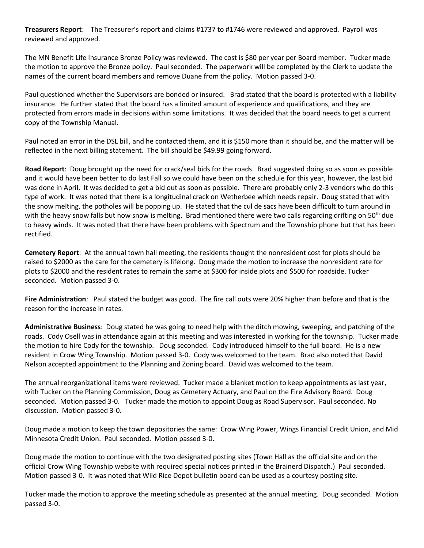**Treasurers Report**: The Treasurer's report and claims #1737 to #1746 were reviewed and approved. Payroll was reviewed and approved.

The MN Benefit Life Insurance Bronze Policy was reviewed. The cost is \$80 per year per Board member. Tucker made the motion to approve the Bronze policy. Paul seconded. The paperwork will be completed by the Clerk to update the names of the current board members and remove Duane from the policy. Motion passed 3-0.

Paul questioned whether the Supervisors are bonded or insured. Brad stated that the board is protected with a liability insurance. He further stated that the board has a limited amount of experience and qualifications, and they are protected from errors made in decisions within some limitations. It was decided that the board needs to get a current copy of the Township Manual.

Paul noted an error in the DSL bill, and he contacted them, and it is \$150 more than it should be, and the matter will be reflected in the next billing statement. The bill should be \$49.99 going forward.

**Road Report**: Doug brought up the need for crack/seal bids for the roads. Brad suggested doing so as soon as possible and it would have been better to do last Fall so we could have been on the schedule for this year, however, the last bid was done in April. It was decided to get a bid out as soon as possible. There are probably only 2-3 vendors who do this type of work. It was noted that there is a longitudinal crack on Wetherbee which needs repair. Doug stated that with the snow melting, the potholes will be popping up. He stated that the cul de sacs have been difficult to turn around in with the heavy snow falls but now snow is melting. Brad mentioned there were two calls regarding drifting on 50<sup>th</sup> due to heavy winds. It was noted that there have been problems with Spectrum and the Township phone but that has been rectified.

**Cemetery Report**: At the annual town hall meeting, the residents thought the nonresident cost for plots should be raised to \$2000 as the care for the cemetery is lifelong. Doug made the motion to increase the nonresident rate for plots to \$2000 and the resident rates to remain the same at \$300 for inside plots and \$500 for roadside. Tucker seconded. Motion passed 3-0.

**Fire Administration**: Paul stated the budget was good. The fire call outs were 20% higher than before and that is the reason for the increase in rates.

**Administrative Business**: Doug stated he was going to need help with the ditch mowing, sweeping, and patching of the roads. Cody Osell was in attendance again at this meeting and was interested in working for the township. Tucker made the motion to hire Cody for the township. Doug seconded. Cody introduced himself to the full board. He is a new resident in Crow Wing Township. Motion passed 3-0. Cody was welcomed to the team. Brad also noted that David Nelson accepted appointment to the Planning and Zoning board. David was welcomed to the team.

The annual reorganizational items were reviewed. Tucker made a blanket motion to keep appointments as last year, with Tucker on the Planning Commission, Doug as Cemetery Actuary, and Paul on the Fire Advisory Board. Doug seconded. Motion passed 3-0. Tucker made the motion to appoint Doug as Road Supervisor. Paul seconded. No discussion. Motion passed 3-0.

Doug made a motion to keep the town depositories the same: Crow Wing Power, Wings Financial Credit Union, and Mid Minnesota Credit Union. Paul seconded. Motion passed 3-0.

Doug made the motion to continue with the two designated posting sites (Town Hall as the official site and on the official Crow Wing Township website with required special notices printed in the Brainerd Dispatch.) Paul seconded. Motion passed 3-0. It was noted that Wild Rice Depot bulletin board can be used as a courtesy posting site.

Tucker made the motion to approve the meeting schedule as presented at the annual meeting. Doug seconded. Motion passed 3-0.